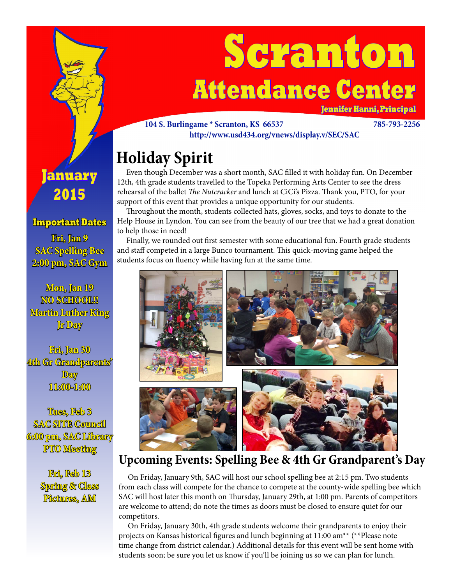

# **Scranton Attendance Center**

**Jennifer Hanni, Principal**

#### **104 S. Burlingame \* Scranton, KS 66537 785-793-2256 http://www.usd434.org/vnews/display.v/SEC/SAC**

## **Holiday Spirit**

 Even though December was a short month, SAC filled it with holiday fun. On December 12th, 4th grade students travelled to the Topeka Performing Arts Center to see the dress rehearsal of the ballet *The Nutcracker* and lunch at CiCi's Pizza. Thank you, PTO, for your support of this event that provides a unique opportunity for our students.

 Throughout the month, students collected hats, gloves, socks, and toys to donate to the Help House in Lyndon. You can see from the beauty of our tree that we had a great donation to help those in need!

 Finally, we rounded out first semester with some educational fun. Fourth grade students and staff competed in a large Bunco tournament. This quick-moving game helped the students focus on fluency while having fun at the same time.



### **Upcoming Events: Spelling Bee & 4th Gr Grandparent's Day**

 On Friday, January 9th, SAC will host our school spelling bee at 2:15 pm. Two students from each class will compete for the chance to compete at the county-wide spelling bee which SAC will host later this month on Thursday, January 29th, at 1:00 pm. Parents of competitors are welcome to attend; do note the times as doors must be closed to ensure quiet for our competitors.

 On Friday, January 30th, 4th grade students welcome their grandparents to enjoy their projects on Kansas historical figures and lunch beginning at 11:00 am\*\* (\*\*Please note time change from district calendar.) Additional details for this event will be sent home with students soon; be sure you let us know if you'll be joining us so we can plan for lunch.

### **January 2015**

### **Important Dates**

**Fri, Jan 9 SAC Spelling Bee 2:00 pm, SAC Gym**

**Mon, Jan 19 NO SCHOOL!! Martin Luther King Jr Day**

**Fri, Jan 30 4th Gr Grandparents' Day 11:00-1:00**

**Tues, Feb 3 SAC SITE Council 6:00 pm, SAC Library PTO Meeting**

> **Fri, Feb 13 Spring & Class Pictures, AM**